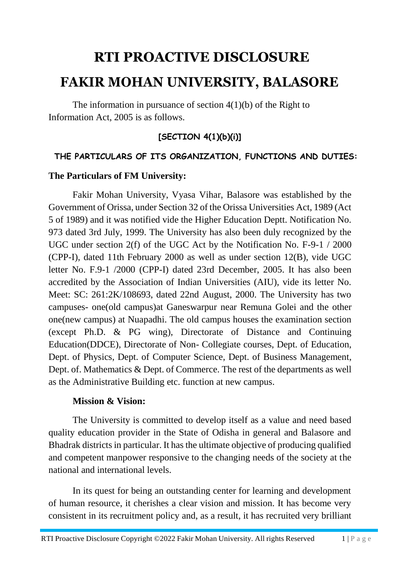# **RTI PROACTIVE DISCLOSURE FAKIR MOHAN UNIVERSITY, BALASORE**

The information in pursuance of section 4(1)(b) of the Right to Information Act, 2005 is as follows.

# **[SECTION 4(1)(b)(i)]**

# **THE PARTICULARS OF ITS ORGANIZATION, FUNCTIONS AND DUTIES:**

# **The Particulars of FM University:**

Fakir Mohan University, Vyasa Vihar, Balasore was established by the Government of Orissa, under Section 32 of the Orissa Universities Act, 1989 (Act 5 of 1989) and it was notified vide the Higher Education Deptt. Notification No. 973 dated 3rd July, 1999. The University has also been duly recognized by the UGC under section 2(f) of the UGC Act by the Notification No. F-9-1 / 2000 (CPP-I), dated 11th February 2000 as well as under section 12(B), vide UGC letter No. F.9-1 /2000 (CPP-I) dated 23rd December, 2005. It has also been accredited by the Association of Indian Universities (AIU), vide its letter No. Meet: SC: 261:2K/108693, dated 22nd August, 2000. The University has two campuses- one(old campus)at Ganeswarpur near Remuna Golei and the other one(new campus) at Nuapadhi. The old campus houses the examination section (except Ph.D. & PG wing), Directorate of Distance and Continuing Education(DDCE), Directorate of Non- Collegiate courses, Dept. of Education, Dept. of Physics, Dept. of Computer Science, Dept. of Business Management, Dept. of. Mathematics & Dept. of Commerce. The rest of the departments as well as the Administrative Building etc. function at new campus.

## **Mission & Vision:**

The University is committed to develop itself as a value and need based quality education provider in the State of Odisha in general and Balasore and Bhadrak districts in particular. It has the ultimate objective of producing qualified and competent manpower responsive to the changing needs of the society at the national and international levels.

In its quest for being an outstanding center for learning and development of human resource, it cherishes a clear vision and mission. It has become very consistent in its recruitment policy and, as a result, it has recruited very brilliant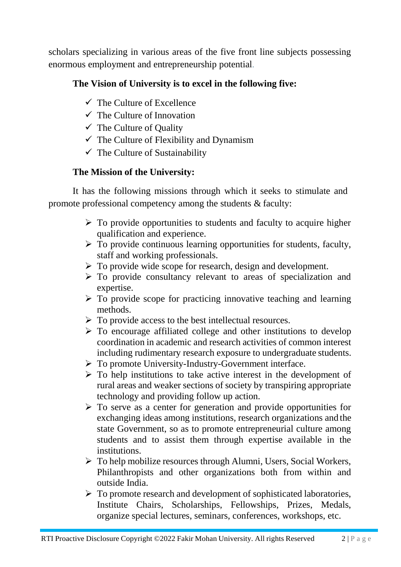scholars specializing in various areas of the five front line subjects possessing enormous employment and entrepreneurship potential.

# **The Vision of University is to excel in the following five:**

- $\checkmark$  The Culture of Excellence
- $\checkmark$  The Culture of Innovation
- $\checkmark$  The Culture of Quality
- $\checkmark$  The Culture of Flexibility and Dynamism
- $\checkmark$  The Culture of Sustainability

# **The Mission of the University:**

It has the following missions through which it seeks to stimulate and promote professional competency among the students & faculty:

- $\triangleright$  To provide opportunities to students and faculty to acquire higher qualification and experience.
- $\triangleright$  To provide continuous learning opportunities for students, faculty, staff and working professionals.
- $\triangleright$  To provide wide scope for research, design and development.
- $\triangleright$  To provide consultancy relevant to areas of specialization and expertise.
- $\triangleright$  To provide scope for practicing innovative teaching and learning methods.
- $\triangleright$  To provide access to the best intellectual resources.
- $\triangleright$  To encourage affiliated college and other institutions to develop coordination in academic and research activities of common interest including rudimentary research exposure to undergraduate students.
- $\triangleright$  To promote University-Industry-Government interface.
- $\triangleright$  To help institutions to take active interest in the development of rural areas and weaker sections of society by transpiring appropriate technology and providing follow up action.
- $\triangleright$  To serve as a center for generation and provide opportunities for exchanging ideas among institutions, research organizations and the state Government, so as to promote entrepreneurial culture among students and to assist them through expertise available in the institutions.
- To help mobilize resources through Alumni, Users, Social Workers, Philanthropists and other organizations both from within and outside India.
- $\triangleright$  To promote research and development of sophisticated laboratories, Institute Chairs, Scholarships, Fellowships, Prizes, Medals, organize special lectures, seminars, conferences, workshops, etc.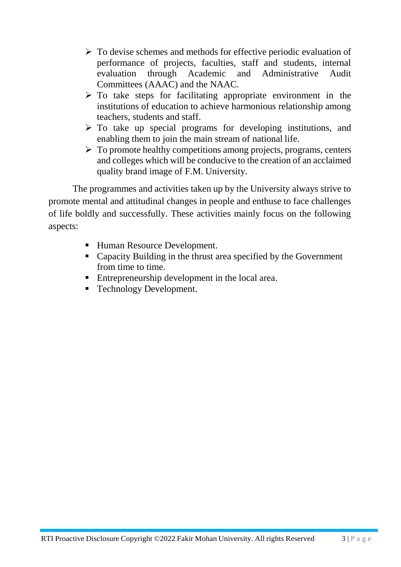- $\triangleright$  To devise schemes and methods for effective periodic evaluation of performance of projects, faculties, staff and students, internal evaluation through Academic and Administrative Audit Committees (AAAC) and the NAAC.
- $\triangleright$  To take steps for facilitating appropriate environment in the institutions of education to achieve harmonious relationship among teachers, students and staff.
- $\triangleright$  To take up special programs for developing institutions, and enabling them to join the main stream of national life.
- $\triangleright$  To promote healthy competitions among projects, programs, centers and colleges which will be conducive to the creation of an acclaimed quality brand image of F.M. University.

The programmes and activities taken up by the University always strive to promote mental and attitudinal changes in people and enthuse to face challenges of life boldly and successfully. These activities mainly focus on the following aspects:

- Human Resource Development.
- Capacity Building in the thrust area specified by the Government from time to time.
- Entrepreneurship development in the local area.
- Technology Development.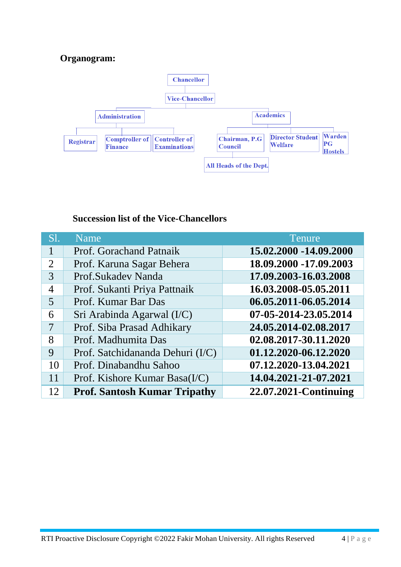# **Organogram:**



# **Succession list of the Vice-Chancellors**

| SI.            | <b>Name</b>                         | Tenure                 |
|----------------|-------------------------------------|------------------------|
|                | Prof. Gorachand Patnaik             | 15.02.2000 -14.09.2000 |
| $\overline{2}$ | Prof. Karuna Sagar Behera           | 18.09.2000 -17.09.2003 |
| 3              | Prof.Sukadev Nanda                  | 17.09.2003-16.03.2008  |
| 4              | Prof. Sukanti Priya Pattnaik        | 16.03.2008-05.05.2011  |
| 5              | Prof. Kumar Bar Das                 | 06.05.2011-06.05.2014  |
| 6              | Sri Arabinda Agarwal (I/C)          | 07-05-2014-23.05.2014  |
| 7              | Prof. Siba Prasad Adhikary          | 24.05.2014-02.08.2017  |
| 8              | Prof. Madhumita Das                 | 02.08.2017-30.11.2020  |
| 9              | Prof. Satchidananda Dehuri (I/C)    | 01.12.2020-06.12.2020  |
| 10             | Prof. Dinabandhu Sahoo              | 07.12.2020-13.04.2021  |
| 11             | Prof. Kishore Kumar Basa $(I/C)$    | 14.04.2021-21-07.2021  |
| 12             | <b>Prof. Santosh Kumar Tripathy</b> | 22.07.2021-Continuing  |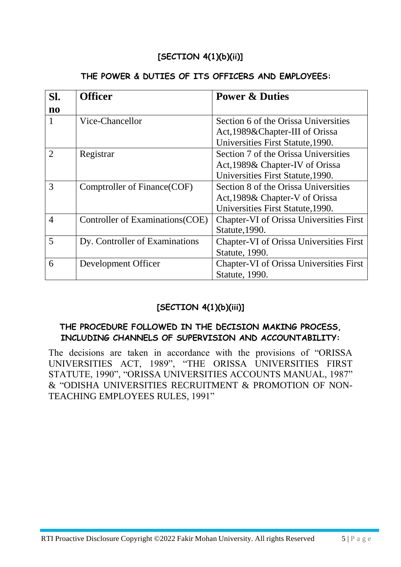# **[SECTION 4(1)(b)(ii)]**

#### **THE POWER & DUTIES OF ITS OFFICERS AND EMPLOYEES:**

| SI.                    | <b>Officer</b>                   | <b>Power &amp; Duties</b>                      |
|------------------------|----------------------------------|------------------------------------------------|
| $\mathbf{n}\mathbf{o}$ |                                  |                                                |
|                        | Vice-Chancellor                  | Section 6 of the Orissa Universities           |
|                        |                                  | Act, 1989& Chapter-III of Orissa               |
|                        |                                  | Universities First Statute, 1990.              |
| $\overline{2}$         | Registrar                        | Section 7 of the Orissa Universities           |
|                        |                                  | Act, 1989& Chapter-IV of Orissa                |
|                        |                                  | Universities First Statute, 1990.              |
| 3                      | Comptroller of Finance (COF)     | Section 8 of the Orissa Universities           |
|                        |                                  | Act, 1989& Chapter-V of Orissa                 |
|                        |                                  | Universities First Statute, 1990.              |
| $\overline{4}$         | Controller of Examinations (COE) | <b>Chapter-VI</b> of Orissa Universities First |
|                        |                                  | Statute, 1990.                                 |
| 5                      | Dy. Controller of Examinations   | <b>Chapter-VI of Orissa Universities First</b> |
|                        |                                  | Statute, 1990.                                 |
| 6                      | Development Officer              | <b>Chapter-VI</b> of Orissa Universities First |
|                        |                                  | Statute, 1990.                                 |

# **[SECTION 4(1)(b)(iii)]**

# **THE PROCEDURE FOLLOWED IN THE DECISION MAKING PROCESS, INCLUDING CHANNELS OF SUPERVISION AND ACCOUNTABILITY:**

The decisions are taken in accordance with the provisions of "ORISSA UNIVERSITIES ACT, 1989", "THE ORISSA UNIVERSITIES FIRST STATUTE, 1990", "ORISSA UNIVERSITIES ACCOUNTS MANUAL, 1987" & "ODISHA UNIVERSITIES RECRUITMENT & PROMOTION OF NON-TEACHING EMPLOYEES RULES, 1991"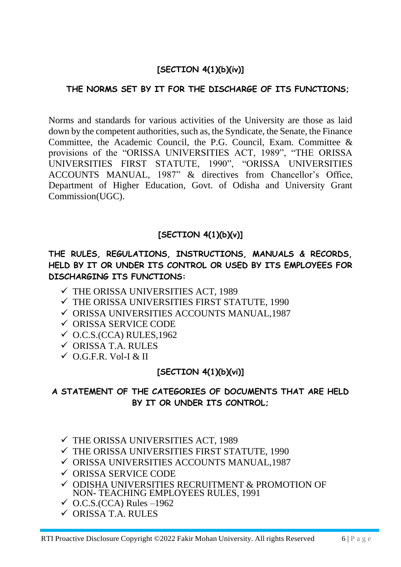# **[SECTION 4(1)(b)(iv)]**

# **THE NORMS SET BY IT FOR THE DISCHARGE OF ITS FUNCTIONS;**

Norms and standards for various activities of the University are those as laid down by the competent authorities, such as, the Syndicate, the Senate, the Finance Committee, the Academic Council, the P.G. Council, Exam. Committee & provisions of the "ORISSA UNIVERSITIES ACT, 1989", "THE ORISSA UNIVERSITIES FIRST STATUTE, 1990", "ORISSA UNIVERSITIES ACCOUNTS MANUAL, 1987" & directives from Chancellor's Office, Department of Higher Education, Govt. of Odisha and University Grant Commission(UGC).

# **[SECTION 4(1)(b)(v)]**

# **THE RULES, REGULATIONS, INSTRUCTIONS, MANUALS & RECORDS, HELD BY IT OR UNDER ITS CONTROL OR USED BY ITS EMPLOYEES FOR DISCHARGING ITS FUNCTIONS:**

- $\checkmark$  THE ORISSA UNIVERSITIES ACT, 1989
- $\checkmark$  THE ORISSA UNIVERSITIES FIRST STATUTE, 1990
- ORISSA UNIVERSITIES ACCOUNTS MANUAL,1987
- ORISSA SERVICE CODE
- $\checkmark$  O.C.S.(CCA) RULES, 1962
- ORISSA T.A. RULES
- $\checkmark$  O.G.F.R. Vol-I & II

# **[SECTION 4(1)(b)(vi)]**

# **A STATEMENT OF THE CATEGORIES OF DOCUMENTS THAT ARE HELD BY IT OR UNDER ITS CONTROL;**

- $\checkmark$  THE ORISSA UNIVERSITIES ACT, 1989
- $\checkmark$  THE ORISSA UNIVERSITIES FIRST STATUTE, 1990
- ORISSA UNIVERSITIES ACCOUNTS MANUAL,1987
- $\checkmark$  ORISSA SERVICE CODE
- $\checkmark$  ODISHA UNIVERSITIES RECRUITMENT & PROMOTION OF NON- TEACHING EMPLOYEES RULES, 1991
- $\checkmark$  O.C.S.(CCA) Rules –1962
- $\checkmark$  ORISSA T.A. RULES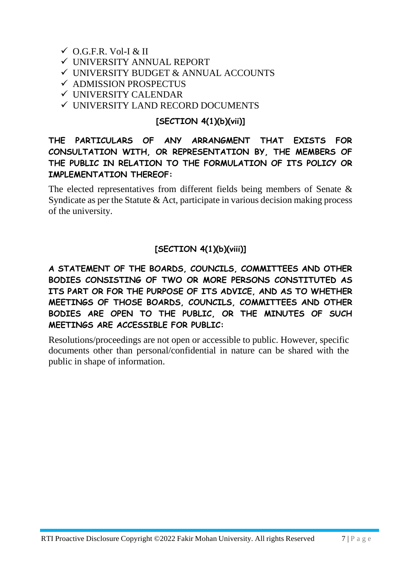# $\checkmark$  O.G.F.R. Vol-I & II

- UNIVERSITY ANNUAL REPORT
- UNIVERSITY BUDGET & ANNUAL ACCOUNTS
- $\checkmark$  ADMISSION PROSPECTUS
- UNIVERSITY CALENDAR
- UNIVERSITY LAND RECORD DOCUMENTS

# **[SECTION 4(1)(b)(vii)]**

# **THE PARTICULARS OF ANY ARRANGMENT THAT EXISTS FOR CONSULTATION WITH, OR REPRESENTATION BY, THE MEMBERS OF THE PUBLIC IN RELATION TO THE FORMULATION OF ITS POLICY OR IMPLEMENTATION THEREOF:**

The elected representatives from different fields being members of Senate & Syndicate as per the Statute & Act, participate in various decision making process of the university.

# **[SECTION 4(1)(b)(viii)]**

**A STATEMENT OF THE BOARDS, COUNCILS, COMMITTEES AND OTHER BODIES CONSISTING OF TWO OR MORE PERSONS CONSTITUTED AS ITS PART OR FOR THE PURPOSE OF ITS ADVICE, AND AS TO WHETHER MEETINGS OF THOSE BOARDS, COUNCILS, COMMITTEES AND OTHER BODIES ARE OPEN TO THE PUBLIC, OR THE MINUTES OF SUCH MEETINGS ARE ACCESSIBLE FOR PUBLIC:**

Resolutions/proceedings are not open or accessible to public. However, specific documents other than personal/confidential in nature can be shared with the public in shape of information.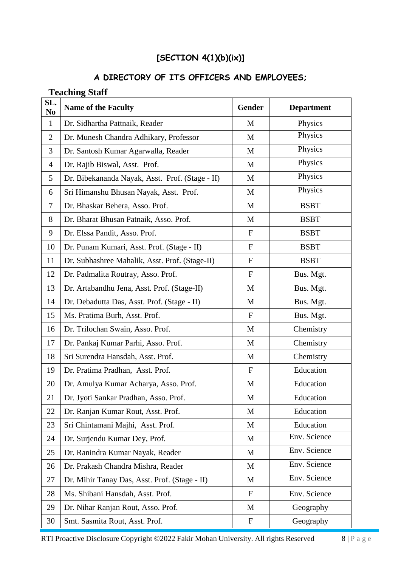# **[SECTION 4(1)(b)(ix)]**

#### **A DIRECTORY OF ITS OFFICERS AND EMPLOYEES;**

# **SL. No Name of the Faculty Gender Department** 1 Dr. Sidhartha Pattnaik, Reader M M Physics 2 Dr. Munesh Chandra Adhikary, Professor M M Physics 3 Dr. Santosh Kumar Agarwalla, Reader M M Physics 4 Dr. Rajib Biswal, Asst. Prof. M M Physics 5 Dr. Bibekananda Nayak, Asst. Prof. (Stage - II) M Physics 6 Sri Himanshu Bhusan Nayak, Asst. Prof. M M Physics 7 Dr. Bhaskar Behera, Asso. Prof. M M BSBT 8 Dr. Bharat Bhusan Patnaik, Asso. Prof. M M BSBT 9 Dr. Elssa Pandit, Asso. Prof. F F BSBT 10 Dr. Punam Kumari, Asst. Prof. (Stage - II) F RSBT 11 | Dr. Subhashree Mahalik, Asst. Prof. (Stage-II) F | BSBT 12 Dr. Padmalita Routray, Asso. Prof. F | Bus. Mgt. 13 Dr. Artabandhu Jena, Asst. Prof. (Stage-II) M N Bus. Mgt. 14 Dr. Debadutta Das, Asst. Prof. (Stage - II) M | Bus. Mgt. 15 | Ms. Pratima Burh, Asst. Prof.  $\overline{F}$  | Bus. Mgt. 16 Dr. Trilochan Swain, Asso. Prof. M M Chemistry 17 Dr. Pankaj Kumar Parhi, Asso. Prof. M M Chemistry 18 | Sri Surendra Hansdah, Asst. Prof. M | Chemistry 19 Dr. Pratima Pradhan, Asst. Prof. F F Education 20 Dr. Amulya Kumar Acharya, Asso. Prof. M | Education 21 | Dr. Jyoti Sankar Pradhan, Asso. Prof. M | Education 22 Dr. Ranjan Kumar Rout, Asst. Prof. M M Education 23 | Sri Chintamani Majhi, Asst. Prof. M | Education 24 Dr. Surjendu Kumar Dey, Prof. M M Env. Science 25 Dr. Ranindra Kumar Nayak, Reader M M Env. Science 26 Dr. Prakash Chandra Mishra, Reader M M Env. Science 27 Dr. Mihir Tanay Das, Asst. Prof. (Stage - II)  $M$  Env. Science 28 | Ms. Shibani Hansdah, Asst. Prof. The Fig. 8 | Ms. Science 29 Dr. Nihar Ranjan Rout, Asso. Prof. M M Geography 30 Smt. Sasmita Rout, Asst. Prof. The F Geography

#### **Teaching Staff**

RTI Proactive Disclosure Copyright ©2022 Fakir Mohan University. All rights Reserved 8 | P a g e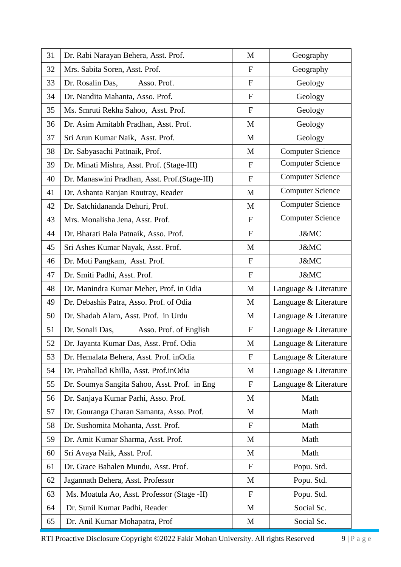| 31 | Dr. Rabi Narayan Behera, Asst. Prof.              | M               | Geography               |  |  |
|----|---------------------------------------------------|-----------------|-------------------------|--|--|
| 32 | Mrs. Sabita Soren, Asst. Prof.                    | $\mathbf F$     | Geography               |  |  |
| 33 | Dr. Rosalin Das,<br>Asso. Prof.                   | $\mathbf{F}$    | Geology                 |  |  |
| 34 | Dr. Nandita Mahanta, Asso. Prof.                  | $\mathbf{F}$    | Geology                 |  |  |
| 35 | Ms. Smruti Rekha Sahoo, Asst. Prof.               | $\mathbf F$     | Geology                 |  |  |
| 36 | Dr. Asim Amitabh Pradhan, Asst. Prof.             | M               | Geology                 |  |  |
| 37 | Sri Arun Kumar Naik, Asst. Prof.                  | M               | Geology                 |  |  |
| 38 | Dr. Sabyasachi Pattnaik, Prof.                    | M               | <b>Computer Science</b> |  |  |
| 39 | Dr. Minati Mishra, Asst. Prof. (Stage-III)        | $\mathbf{F}$    | <b>Computer Science</b> |  |  |
| 40 | Dr. Manaswini Pradhan, Asst. Prof.(Stage-III)     | $\mathbf F$     | <b>Computer Science</b> |  |  |
| 41 | Dr. Ashanta Ranjan Routray, Reader                | M               | <b>Computer Science</b> |  |  |
| 42 | Dr. Satchidananda Dehuri, Prof.                   | M               | <b>Computer Science</b> |  |  |
| 43 | Mrs. Monalisha Jena, Asst. Prof.                  | $\mathbf{F}$    | <b>Computer Science</b> |  |  |
| 44 | Dr. Bharati Bala Patnaik, Asso. Prof.             | ${\bf F}$       | J&MC                    |  |  |
| 45 | Sri Ashes Kumar Nayak, Asst. Prof.                | M               | J&MC                    |  |  |
| 46 | Dr. Moti Pangkam, Asst. Prof.                     | $\mathbf{F}$    | J&MC                    |  |  |
| 47 | Dr. Smiti Padhi, Asst. Prof.                      | $\mathbf F$     | J&MC                    |  |  |
| 48 | Dr. Manindra Kumar Meher, Prof. in Odia           | M               | Language & Literature   |  |  |
| 49 | Dr. Debashis Patra, Asso. Prof. of Odia           | M               | Language & Literature   |  |  |
| 50 | Dr. Shadab Alam, Asst. Prof. in Urdu              | M               | Language & Literature   |  |  |
| 51 | Dr. Sonali Das,<br>Asso. Prof. of English         | $\mathbf F$     | Language & Literature   |  |  |
| 52 | Dr. Jayanta Kumar Das, Asst. Prof. Odia           | M               | Language & Literature   |  |  |
| 53 | Dr. Hemalata Behera, Asst. Prof. inOdia           | $\mathbf{F}$    | Language & Literature   |  |  |
| 54 | Dr. Prahallad Khilla, Asst. Prof.inOdia           | M               | Language & Literature   |  |  |
| 55 | Dr. Soumya Sangita Sahoo, Asst. Prof. in Eng      | $\mathbf F$     | Language & Literature   |  |  |
| 56 | Dr. Sanjaya Kumar Parhi, Asso. Prof.              | M               | Math                    |  |  |
| 57 | Dr. Gouranga Charan Samanta, Asso. Prof.          | M               | Math                    |  |  |
| 58 | Dr. Sushomita Mohanta, Asst. Prof.                | $\mathbf{F}$    | Math                    |  |  |
| 59 | Dr. Amit Kumar Sharma, Asst. Prof.                | M               | Math                    |  |  |
| 60 | Sri Avaya Naik, Asst. Prof.                       | M               | Math                    |  |  |
| 61 | Dr. Grace Bahalen Mundu, Asst. Prof.              | F               | Popu. Std.              |  |  |
| 62 | Jagannath Behera, Asst. Professor                 | M               | Popu. Std.              |  |  |
| 63 | Ms. Moatula Ao, Asst. Professor (Stage -II)       | $\mathbf F$     | Popu. Std.              |  |  |
| 64 | Dr. Sunil Kumar Padhi, Reader                     | Social Sc.<br>M |                         |  |  |
| 65 | Dr. Anil Kumar Mohapatra, Prof<br>Social Sc.<br>M |                 |                         |  |  |

RTI Proactive Disclosure Copyright ©2022 Fakir Mohan University. All rights Reserved 9 | P a g e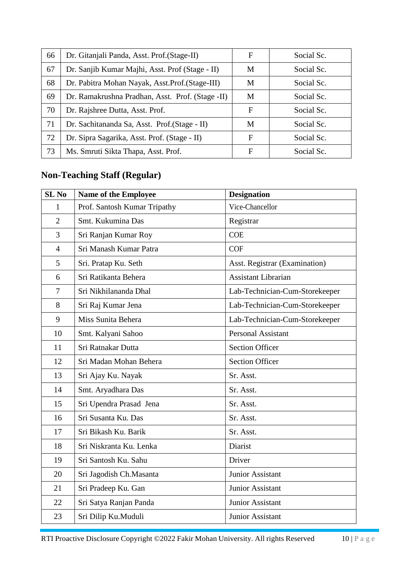| 66 | Dr. Gitanjali Panda, Asst. Prof. (Stage-II)      | F | Social Sc. |
|----|--------------------------------------------------|---|------------|
| 67 | Dr. Sanjib Kumar Majhi, Asst. Prof (Stage - II)  | M | Social Sc. |
| 68 | Dr. Pabitra Mohan Nayak, Asst.Prof. (Stage-III)  | M | Social Sc. |
| 69 | Dr. Ramakrushna Pradhan, Asst. Prof. (Stage -II) | M | Social Sc. |
| 70 | Dr. Rajshree Dutta, Asst. Prof.                  | F | Social Sc. |
| 71 | Dr. Sachitananda Sa, Asst. Prof. (Stage - II)    | M | Social Sc. |
| 72 | Dr. Sipra Sagarika, Asst. Prof. (Stage - II)     | F | Social Sc. |
| 73 | Ms. Smruti Sikta Thapa, Asst. Prof.              | F | Social Sc. |

# **Non-Teaching Staff (Regular)**

| <b>SL No</b>   | <b>Name of the Employee</b>  | <b>Designation</b>             |
|----------------|------------------------------|--------------------------------|
| $\mathbf{1}$   | Prof. Santosh Kumar Tripathy | Vice-Chancellor                |
| $\overline{2}$ | Smt. Kukumina Das            | Registrar                      |
| 3              | Sri Ranjan Kumar Roy         | <b>COE</b>                     |
| $\overline{4}$ | Sri Manash Kumar Patra       | <b>COF</b>                     |
| 5              | Sri. Pratap Ku. Seth         | Asst. Registrar (Examination)  |
| 6              | Sri Ratikanta Behera         | <b>Assistant Librarian</b>     |
| $\tau$         | Sri Nikhilananda Dhal        | Lab-Technician-Cum-Storekeeper |
| 8              | Sri Raj Kumar Jena           | Lab-Technician-Cum-Storekeeper |
| 9              | Miss Sunita Behera           | Lab-Technician-Cum-Storekeeper |
| 10             | Smt. Kalyani Sahoo           | <b>Personal Assistant</b>      |
| 11             | Sri Ratnakar Dutta           | <b>Section Officer</b>         |
| 12             | Sri Madan Mohan Behera       | <b>Section Officer</b>         |
| 13             | Sri Ajay Ku. Nayak           | Sr. Asst.                      |
| 14             | Smt. Aryadhara Das           | Sr. Asst.                      |
| 15             | Sri Upendra Prasad Jena      | Sr. Asst.                      |
| 16             | Sri Susanta Ku. Das          | Sr. Asst.                      |
| 17             | Sri Bikash Ku. Barik         | Sr. Asst.                      |
| 18             | Sri Niskranta Ku. Lenka      | Diarist                        |
| 19             | Sri Santosh Ku. Sahu         | Driver                         |
| 20             | Sri Jagodish Ch.Masanta      | Junior Assistant               |
| 21             | Sri Pradeep Ku. Gan          | Junior Assistant               |
| 22             | Sri Satya Ranjan Panda       | Junior Assistant               |
| 23             | Sri Dilip Ku.Muduli          | Junior Assistant               |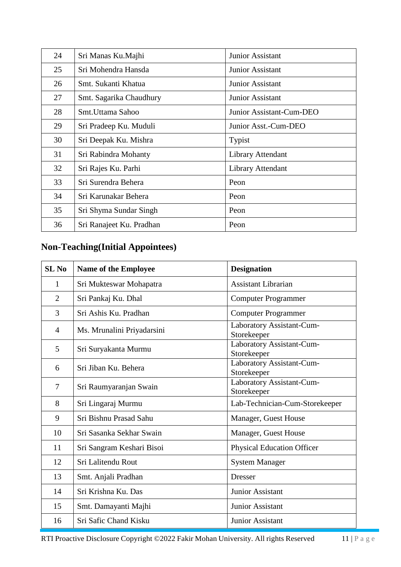| 24 | Sri Manas Ku.Majhi       | Junior Assistant         |  |
|----|--------------------------|--------------------------|--|
| 25 | Sri Mohendra Hansda      | Junior Assistant         |  |
| 26 | Smt. Sukanti Khatua      | Junior Assistant         |  |
| 27 | Smt. Sagarika Chaudhury  | Junior Assistant         |  |
| 28 | Smt. Uttama Sahoo        | Junior Assistant-Cum-DEO |  |
| 29 | Sri Pradeep Ku. Muduli   | Junior Asst.-Cum-DEO     |  |
| 30 | Sri Deepak Ku. Mishra    | Typist                   |  |
| 31 | Sri Rabindra Mohanty     | Library Attendant        |  |
| 32 | Sri Rajes Ku. Parhi      | Library Attendant        |  |
| 33 | Sri Surendra Behera      | Peon                     |  |
| 34 | Sri Karunakar Behera     | Peon                     |  |
| 35 | Sri Shyma Sundar Singh   | Peon                     |  |
| 36 | Sri Ranajeet Ku. Pradhan | Peon                     |  |

# **Non-Teaching(Initial Appointees)**

| <b>SL No</b>   | <b>Name of the Employee</b>                                      | <b>Designation</b>                       |  |
|----------------|------------------------------------------------------------------|------------------------------------------|--|
| 1              | Sri Mukteswar Mohapatra                                          | <b>Assistant Librarian</b>               |  |
| 2              | Sri Pankaj Ku. Dhal                                              | <b>Computer Programmer</b>               |  |
| 3              | Sri Ashis Ku. Pradhan                                            | <b>Computer Programmer</b>               |  |
| 4              | Ms. Mrunalini Priyadarsini                                       | Laboratory Assistant-Cum-<br>Storekeeper |  |
| 5              | Sri Suryakanta Murmu                                             | Laboratory Assistant-Cum-<br>Storekeeper |  |
| 6              | Laboratory Assistant-Cum-<br>Sri Jiban Ku. Behera<br>Storekeeper |                                          |  |
| $\overline{7}$ | Sri Raumyaranjan Swain                                           | Laboratory Assistant-Cum-<br>Storekeeper |  |
| 8              | Sri Lingaraj Murmu                                               | Lab-Technician-Cum-Storekeeper           |  |
| 9              | Sri Bishnu Prasad Sahu<br>Manager, Guest House                   |                                          |  |
| 10             | Sri Sasanka Sekhar Swain                                         | Manager, Guest House                     |  |
| 11             | Sri Sangram Keshari Bisoi                                        | <b>Physical Education Officer</b>        |  |
| 12             | Sri Lalitendu Rout                                               | <b>System Manager</b>                    |  |
| 13             | Smt. Anjali Pradhan                                              | <b>Dresser</b>                           |  |
| 14             | Sri Krishna Ku. Das                                              | <b>Junior Assistant</b>                  |  |
| 15             | Smt. Damayanti Majhi                                             | Junior Assistant                         |  |
| 16             | Sri Safic Chand Kisku                                            | Junior Assistant                         |  |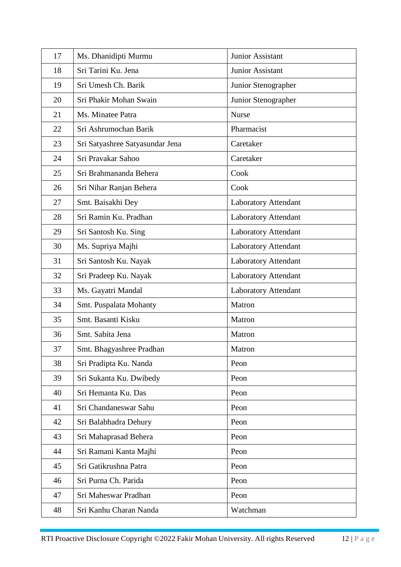| 17 | Ms. Dhanidipti Murmu            | Junior Assistant            |
|----|---------------------------------|-----------------------------|
| 18 | Sri Tarini Ku. Jena             | Junior Assistant            |
| 19 | Sri Umesh Ch. Barik             | Junior Stenographer         |
| 20 | Sri Phakir Mohan Swain          | Junior Stenographer         |
| 21 | Ms. Minatee Patra               | <b>Nurse</b>                |
| 22 | Sri Ashrumochan Barik           | Pharmacist                  |
| 23 | Sri Satyashree Satyasundar Jena | Caretaker                   |
| 24 | Sri Pravakar Sahoo              | Caretaker                   |
| 25 | Sri Brahmananda Behera          | Cook                        |
| 26 | Sri Nihar Ranjan Behera         | Cook                        |
| 27 | Smt. Baisakhi Dey               | Laboratory Attendant        |
| 28 | Sri Ramin Ku. Pradhan           | <b>Laboratory Attendant</b> |
| 29 | Sri Santosh Ku. Sing            | <b>Laboratory Attendant</b> |
| 30 | Ms. Supriya Majhi               | <b>Laboratory Attendant</b> |
| 31 | Sri Santosh Ku. Nayak           | <b>Laboratory Attendant</b> |
| 32 | Sri Pradeep Ku. Nayak           | Laboratory Attendant        |
| 33 | Ms. Gayatri Mandal              | <b>Laboratory Attendant</b> |
| 34 | Smt. Puspalata Mohanty          | Matron                      |
| 35 | Smt. Basanti Kisku              | Matron                      |
| 36 | Smt. Sabita Jena                | Matron                      |
| 37 | Smt. Bhagyashree Pradhan        | Matron                      |
| 38 | Sri Pradipta Ku. Nanda          | Peon                        |
| 39 | Sri Sukanta Ku. Dwibedy         | Peon                        |
| 40 | Sri Hemanta Ku. Das             | Peon                        |
| 41 | Sri Chandaneswar Sahu           | Peon                        |
| 42 | Sri Balabhadra Dehury           | Peon                        |
| 43 | Sri Mahaprasad Behera           | Peon                        |
| 44 | Sri Ramani Kanta Majhi          | Peon                        |
| 45 | Sri Gatikrushna Patra           | Peon                        |
| 46 | Sri Purna Ch. Parida            | Peon                        |
| 47 | Sri Maheswar Pradhan            | Peon                        |
| 48 | Sri Kanhu Charan Nanda          | Watchman                    |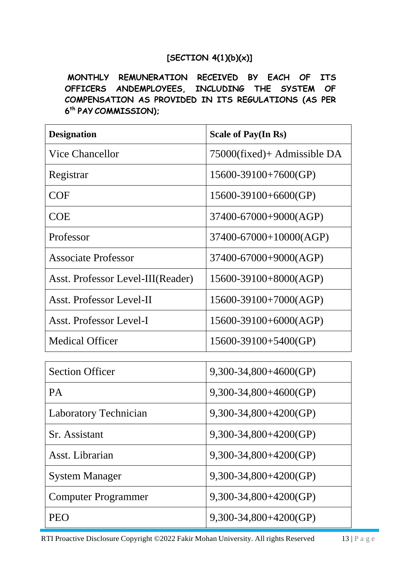## **[SECTION 4(1)(b)(x)]**

**MONTHLY REMUNERATION RECEIVED BY EACH OF ITS OFFICERS ANDEMPLOYEES, INCLUDING THE SYSTEM OF COMPENSATION AS PROVIDED IN ITS REGULATIONS (AS PER 6 th PAY COMMISSION);**

| <b>Designation</b>                | <b>Scale of Pay(In Rs)</b>  |
|-----------------------------------|-----------------------------|
| <b>Vice Chancellor</b>            | 75000(fixed)+ Admissible DA |
| Registrar                         | 15600-39100+7600(GP)        |
| <b>COF</b>                        | $15600 - 39100 + 6600(GP)$  |
| <b>COE</b>                        | 37400-67000+9000(AGP)       |
| Professor                         | 37400-67000+10000(AGP)      |
| <b>Associate Professor</b>        | 37400-67000+9000(AGP)       |
| Asst. Professor Level-III(Reader) | 15600-39100+8000(AGP)       |
| Asst. Professor Level-II          | 15600-39100+7000(AGP)       |
| Asst. Professor Level-I           | 15600-39100+6000(AGP)       |
| <b>Medical Officer</b>            | 15600-39100+5400(GP)        |
|                                   |                             |
| <b>Section Officer</b>            | $9,300-34,800+4600(GP)$     |
| <b>PA</b>                         | $9,300-34,800+4600(GP)$     |
| Laboratory Technician             | $9,300-34,800+4200(GP)$     |
| Sr. Assistant                     | 9,300-34,800+4200(GP)       |
| Asst. Librarian                   | 9,300-34,800+4200(GP)       |
| <b>System Manager</b>             | $9,300-34,800+4200(GP)$     |
| <b>Computer Programmer</b>        | $9,300-34,800+4200(GP)$     |
| <b>PEO</b>                        | $9,300-34,800+4200(GP)$     |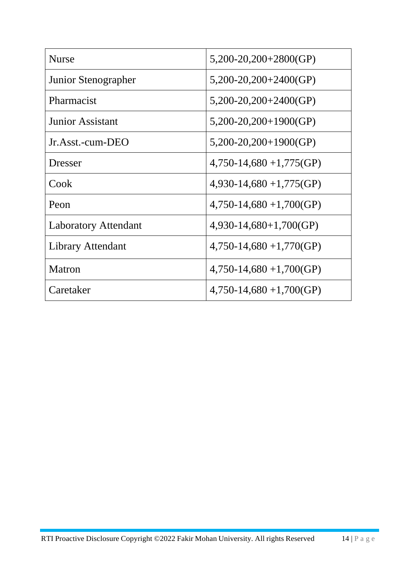| <b>Nurse</b>                | $5,200-20,200+2800(GP)$   |
|-----------------------------|---------------------------|
| Junior Stenographer         | $5,200-20,200+2400(GP)$   |
| Pharmacist                  | $5,200-20,200+2400(GP)$   |
| <b>Junior Assistant</b>     | $5,200-20,200+1900(GP)$   |
| Jr.Asst.-cum-DEO            | $5,200-20,200+1900(GP)$   |
| <b>Dresser</b>              | $4,750-14,680+1,775$ (GP) |
| Cook                        | $4,930-14,680+1,775$ (GP) |
| Peon                        | $4,750-14,680+1,700(GP)$  |
| <b>Laboratory Attendant</b> | $4,930-14,680+1,700(GP)$  |
| <b>Library Attendant</b>    | $4,750-14,680+1,770(GP)$  |
| Matron                      | $4,750-14,680+1,700(GP)$  |
| Caretaker                   | $4,750-14,680+1,700(GP)$  |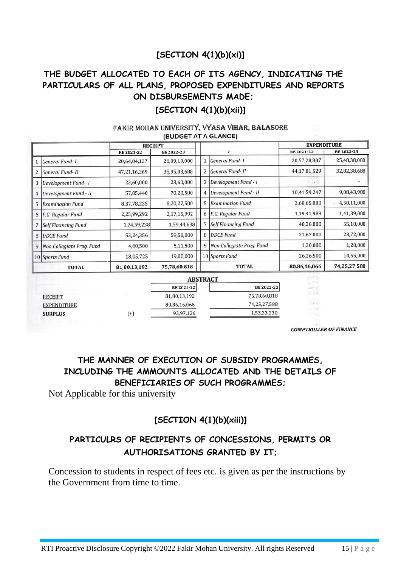# **[SECTION 4(1)(b)(xi)]**

# **THE BUDGET ALLOCATED TO EACH OF ITS AGENCY, INDICATING THE PARTICULARS OF ALL PLANS, PROPOSED EXPENDITURES AND REPORTS ON DISBURSEMENTS MADE;**

## **[SECTION 4(1)(b)(xii)]**

#### FAKIR MOHAN UNIVERSITY. VYASA VIHAR, BALASORE (BUDGET AT A GLANCE)

|   |                            | <b>RECEIPT</b> |              |                |                                                 | <b>EXPENDITURE</b> |              |
|---|----------------------------|----------------|--------------|----------------|-------------------------------------------------|--------------------|--------------|
|   |                            | RE 2021-22     | BE 2022-23   |                | $\mathcal{P}^{\mathcal{C}}$ . The $\mathcal{C}$ | RE 2021-22         | BE 2022-23   |
|   | General Fund-1             | 20,64,04,137   | 26,09,19,000 |                | General Fund-1                                  | 20,57,28,807       | 25,48,38,000 |
| 2 | General Fund-II            | 47,21,16,269   | 35,95,03,688 | $\overline{2}$ | General Fund-II                                 | 44,17,81,529       | 32,82,38,688 |
| 3 | Development Fund - I       | 23,60,000      | 23,60,000    | 3              | Development Fund - I                            | 13.17.1            |              |
|   | Development Fund - II      | 57,05,440      | 70,20,500    | 4              | Development Fund - II                           | 10,41,59,247       | 9,08,43,900  |
| 5 | <b>Examination Fund</b>    | 8,37,78,235    | 8,20,27,500  | 5              | <b>Examination Fund</b>                         | 3,60,65,000        | 4,50,11,000  |
| 6 | P.G. Regular Fund          | 2,25,99,292    | 2,17,15,992  | 6              | P.G. Regular Fund                               | 1,19,41,983        | 1,41,39,000  |
|   | <b>Self Financing Fund</b> | 1,74,59,238    | 1,59,44,638  | 7              | Self Financing Fund                             | 40,26,000          | 55,10,000    |
| 8 | <b>DDCE</b> Fund           | 53,24,356      | 59,58,000    | 8              | DDCE Fund                                       | 21,67,000          | 23,72,000    |
|   | Non Collegiate Prog. Fund  | 4,60,500       | 5,11,500     | 9              | Non Collegiate Prog. Fund                       | 1,20,000           | 1,20,000     |
|   | 10 Sports Fund             | 18,05,725      | 19,00,000    |                | 10 Sports Fund                                  | 26,26,500          | 14,55,000    |
|   | <b>TOTAL</b>               | 81,80,13,192   | 75,78,60,818 |                | <b>TOTAL</b>                                    | 80,86,16,066       | 74,25,27,588 |

|                    |        | <b>ABSTRACT</b>  |              |  |  |  |
|--------------------|--------|------------------|--------------|--|--|--|
|                    |        | <b>RE2021-22</b> | BE 2022-23   |  |  |  |
| <b>RECEIPT</b>     |        | 81,80,13,192     | 75,78,60,818 |  |  |  |
| <b>EXPENDITURE</b> |        | 80,86,16,066     | 74,25,27,588 |  |  |  |
| <b>SURPLUS</b>     | $^{+}$ | 93,97,126        | 1,53,33,230  |  |  |  |

**COMPTROLLER OF FINANCE** 

# **THE MANNER OF EXECUTION OF SUBSIDY PROGRAMMES, INCLUDING THE AMMOUNTS ALLOCATED AND THE DETAILS OF BENEFICIARIES OF SUCH PROGRAMMES;**

Not Applicable for this university

## **[SECTION 4(1)(b)(xiii)]**

# **PARTICULRS OF RECIPIENTS OF CONCESSIONS, PERMITS OR AUTHORISATIONS GRANTED BY IT;**

Concession to students in respect of fees etc. is given as per the instructions by the Government from time to time.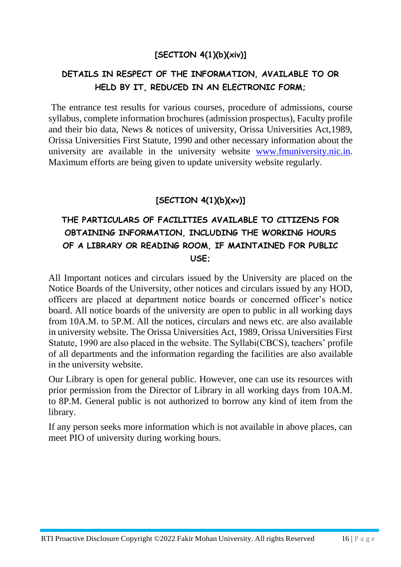# **[SECTION 4(1)(b)(xiv)]**

# **DETAILS IN RESPECT OF THE INFORMATION, AVAILABLE TO OR HELD BY IT, REDUCED IN AN ELECTRONIC FORM;**

The entrance test results for various courses, procedure of admissions, course syllabus, complete information brochures (admission prospectus), Faculty profile and their bio data, News & notices of university, Orissa Universities Act,1989, Orissa Universities First Statute, 1990 and other necessary information about the university are available in the university website [www.fmuniversity.nic.in.](http://www.fmuniversity.nic.in/) Maximum efforts are being given to update university website regularly.

# **[SECTION 4(1)(b)(xv)]**

# **THE PARTICULARS OF FACILITIES AVAILABLE TO CITIZENS FOR OBTAINING INFORMATION, INCLUDING THE WORKING HOURS OF A LIBRARY OR READING ROOM, IF MAINTAINED FOR PUBLIC USE;**

All Important notices and circulars issued by the University are placed on the Notice Boards of the University, other notices and circulars issued by any HOD, officers are placed at department notice boards or concerned officer's notice board. All notice boards of the university are open to public in all working days from 10A.M. to 5P.M. All the notices, circulars and news etc. are also available in university website. The Orissa Universities Act, 1989, Orissa Universities First Statute, 1990 are also placed in the website. The Syllabi(CBCS), teachers' profile of all departments and the information regarding the facilities are also available in the university website.

Our Library is open for general public. However, one can use its resources with prior permission from the Director of Library in all working days from 10A.M. to 8P.M. General public is not authorized to borrow any kind of item from the library.

If any person seeks more information which is not available in above places, can meet PIO of university during working hours.